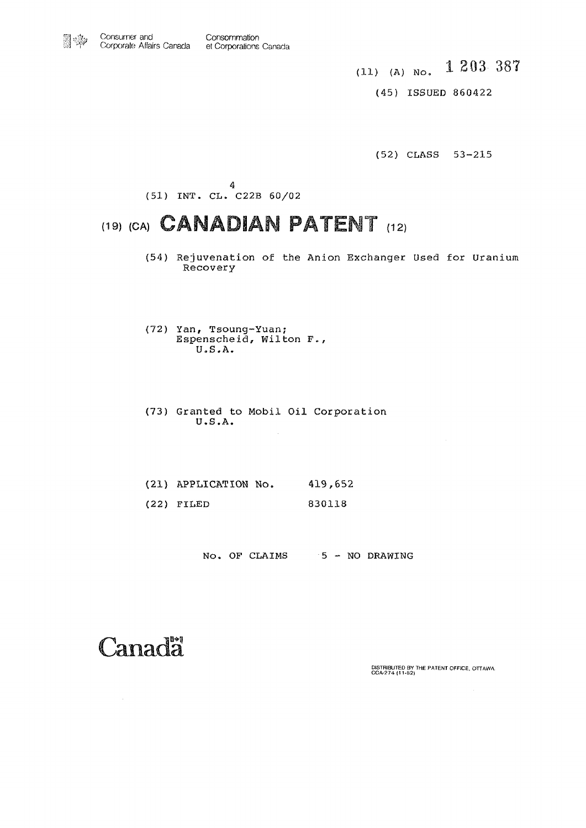(11) (A) No **1 203 387** 

(45) ISSUED 860422

(52) CLASS 53-215

4 (51) INT. CL. C22B 60/02

### (19) (CA) **CANADIAN PATENT** (12)

- (54) Rejuvenation of the Anion Exchanger Used for Uranium Recovery
- (72) Yan, Tsoung-Yuan; Espenscheid, Wilton F., U.S.A.
- (73) Granted to Mobil Oil Corporation U.S.A.

 $\bar{z}$ 

- (21) APPLICATION No. 419,652
- (22) FILED 830118

No. OF CLAIMS 5 - NO DRAWING

## Canada

 $\sim 10^7$ 

**DISTRIBUTED BY THE PATENT OFFICE. OTTAWA CCA-274 (11-82)**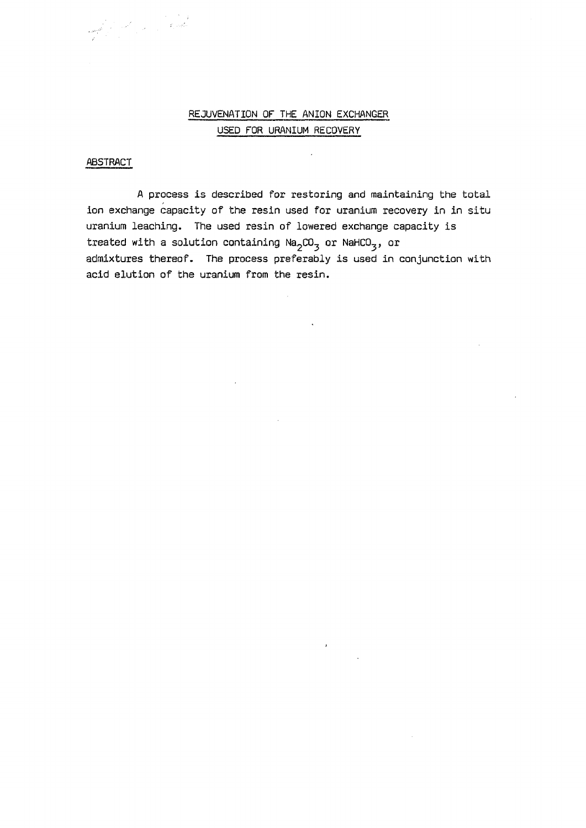#### REJUVENATION OF THE ANION EXCHANGER USED FOR URANIUM RECOVERY

#### **ABSTRACT**

emili (f. 1911)<br>1906 - John Bartholm, fransk konger<br>1910 - Johann Bartholm, fransk konger

A process is described for restoring and maintaining the total ion exchange capacity of the resin used for uranium recovery in in situ uranium leaching. The used resin of lowered exchange capacity is treated with a solution containing  $\text{Na}_2\text{CO}_3$  or  $\text{NaHCO}_3$ , or admixtures thereof. The process preferably is used in conjunction with acid elution of the uranium from the resin.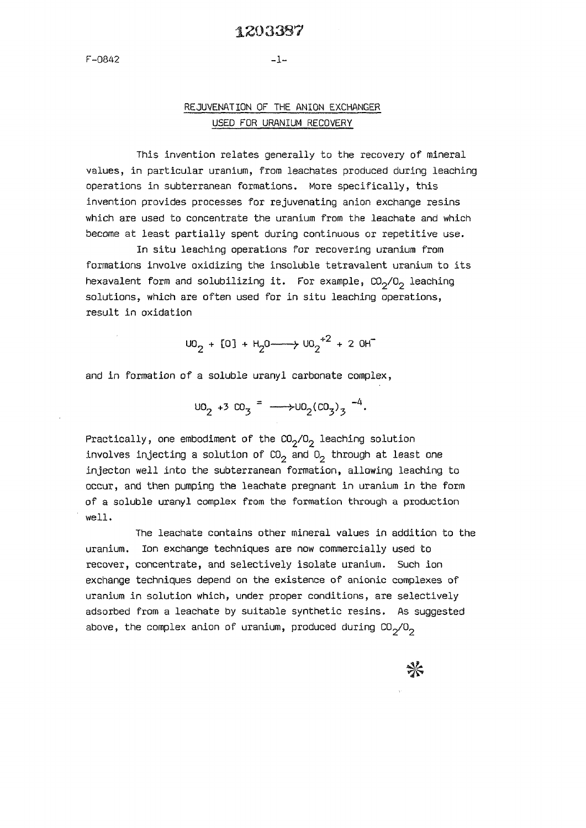#### **1203387**

#### **REJUVENATION OF THE ANION EXCHANGER USED FOR URANIUM RECOVERY**

**This invention relates generally to the recovery of mineral values, in particular uranium, from leachates produced during leaching operations in subterranean formations. More specifically, this invention provides processes for rejuvenating anion exchange resins which are used to concentrate the uranium from the leachate and which become at least partially spent during continuous or repetitive use.** 

**In situ leaching operations for recovering uranium from formations involve oxidizing the insoluble tetravalent uranium to its hexavalent form and solubilizing it. For example, C02/02 leaching solutions, which are often used for in situ leaching operations, result in oxidation** 

 $\begin{bmatrix} 1 & 0 & 0 \\ 0 & 0 & 0 \end{bmatrix}$  +  $\begin{bmatrix} 1 & 0 & 0 \\ 0 & 1 & 0 \end{bmatrix}$  + 2 OH

**and in formation of a soluble uranyl carbonate complex,** 

 $\cup$ <sup>0</sup>2 +3  $\cup$ 0<sub>3</sub> =  $\longrightarrow$  $\cup$ 0<sub>2</sub> $(\cup$ 0<sub>3</sub> $)$ <sub>3</sub>  $\longrightarrow$ <sup>4</sup>**.** 

**Practically, one embodiment of the C02/02 leaching solution involves injecting a solution of C02 and 02 through at least one injecton well into the subterranean formation, allowing leaching to occur, and then pumping the leachate pregnant in uranium in the form of a soluble uranyl complex from the formation through a production well.** 

**The leachate contains other mineral values in addition to the uranium. Ion exchange techniques are now commercially used to recover, concentrate, and selectively isolate uranium. Such ion exchange techniques depend on the existence of anionic complexes of uranium in solution which, under proper conditions, are selectively adsorbed from a leachate by suitable synthetic resins. As suggested above, the complex anion of uranium, produced during C09/09** 

 $\frac{1}{2}$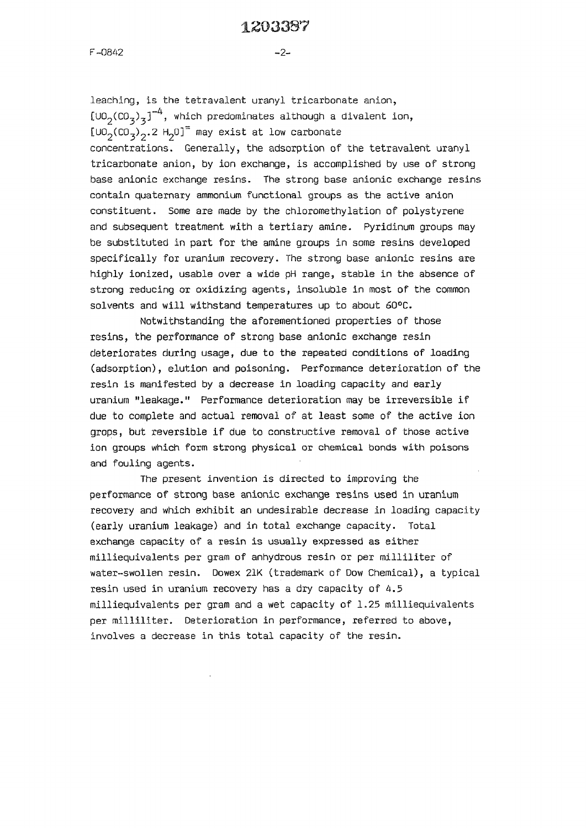#### **1203337**

**F-0842** 

**leaching, is the tetravalent uranyl tricarbonate anion,**   $[U_0(C_0^2)^3]^{-4}$ , which predominates although a divalent ion,  $\left[\begin{smallmatrix}U&0\end{smallmatrix}\right],\begin{smallmatrix}C&0\end{smallmatrix}\right],\begin{smallmatrix}2&\text{H}_{2}\end{smallmatrix}$  may exist at low carbonate **concentrations. Generally, the adsorption of the tetravalent uranyl tricarbonate anion, by ion exchange, is accomplished by use of strong base anionic exchange resins. The strong base anionic exchange resins contain quaternary ammonium functional groups as the active anion constituent. Some are made by the chlorornethylation of polystyrene and subsequent treatment with a tertiary amine. Pyridinum groups may be substituted in part for the amine groups in some resins developed specifically for uranium recovery. The strong base anionic resins are highly ionized, usable over a wide pH range, stable in the absence of strong reducing or oxidizing agents, insoluble in most of the common solvents and will withstand temperatures up to about 60°C.** 

**Notwithstanding the aforementioned properties of those resins, the performance of strong base anionic exchange resin deteriorates during usage, due to the repeated conditions of loading (adsorption), elution and poisoning. Performance deterioration of the resin is manifested by a decrease in loading capacity and early uranium "leakage." Performance deterioration may be irreversible if due to complete and actual removal of at least some of the active ion grops, but reversible if due to constructive removal of those active ion groups which form strong physical or chemical bonds with poisons and fouling agents.** 

**The present invention is directed to improving the performance of strong base anionic exchange resins used in uranium recovery and which exhibit an undesirable decrease in loading capacity (early uranium leakage) and in total exchange capacity. Total exchange capacity of a resin is usually expressed as either milliequivalents per gram of anhydrous resin or per milliliter of water-swollen resin. Dowex 21K (trademark of Dow Chemical), a typical resin used in uranium recovery has a dry capacity of 4.5 milliequivalents per gram and a wet capacity of 1.25 milliequivalents per milliliter. Deterioration in performance, referred to above, involves a decrease in this total capacity of the resin.** 

 $-2 -$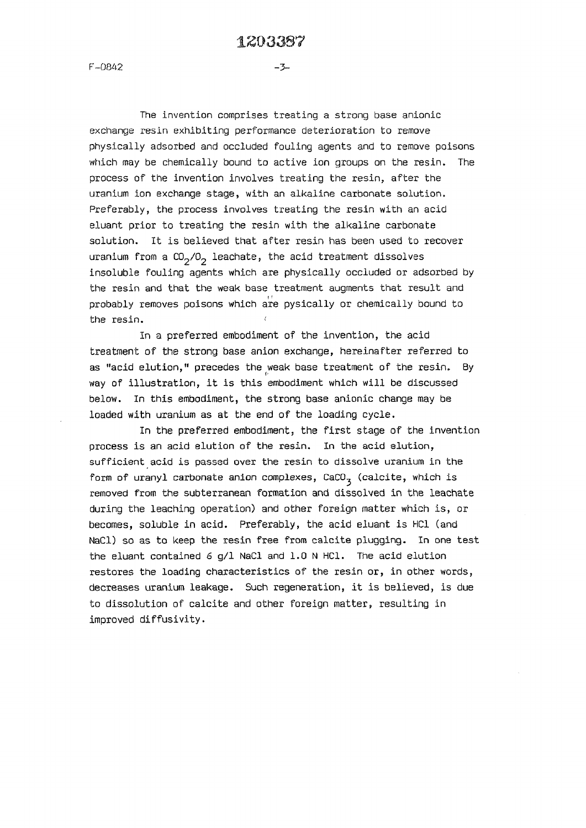**-3~** 

**F-0842** 

**The invention comprises treating a strong base anionic exchange resin exhibiting performance deterioration to remove physically adsorbed and occluded fouling agents and to remove poisons which may be chemically bound to active ion groups on the resin. The process of the invention involves treating the resin, after the uranium ion exchange stage, with an alkaline carbonate solution. Preferably, the process involves treating the resin with an acid eluant prior to treating the resin with the alkaline carbonate solution. It is believed that after resin has been used to recover**  uranium from a  $CO<sub>2</sub>/O<sub>2</sub>$  leachate, the acid treatment dissolves **insoluble fouling agents which are physically occluded or adsorbed by the resin and that the weak base treatment augments that result and probably removes poisons which are pysically or chemically bound to the resin.** 

**In a preferred embodiment of the invention, the acid treatment of the strong base anion exchange, hereinafter referred to as "acid elution," precedes the weak base treatment of the resin. By**  way of illustration, it is this embodiment which will be discussed **below. In this embodiment, the strong base anionic change may be loaded with uranium as at the end of the loading cycle.** 

**In the preferred embodiment, the first stage of the invention process is an acid elution of the resin. In the acid elution, sufficient acid is passed over the resin to dissolve uranium in the form of uranyl carbonate anion complexes, CaCO^ (calcite, which is removed from the subterranean formation and dissolved in the leachate during the leaching operation) and other foreign matter which is, or becomes, soluble in acid. Preferably, the acid eluant is HC1 (and NaCl) so as to keep the resin free from calcite plugging. In one test the eluant contained** *6* **g/1 NaCl and 1.0 N HC1. The acid elution restores the loading characteristics of the resin or, in other words, decreases uranium leakage. Such regeneration, it is believed, is due to dissolution of calcite and other foreign matter, resulting in improved diffusivity.**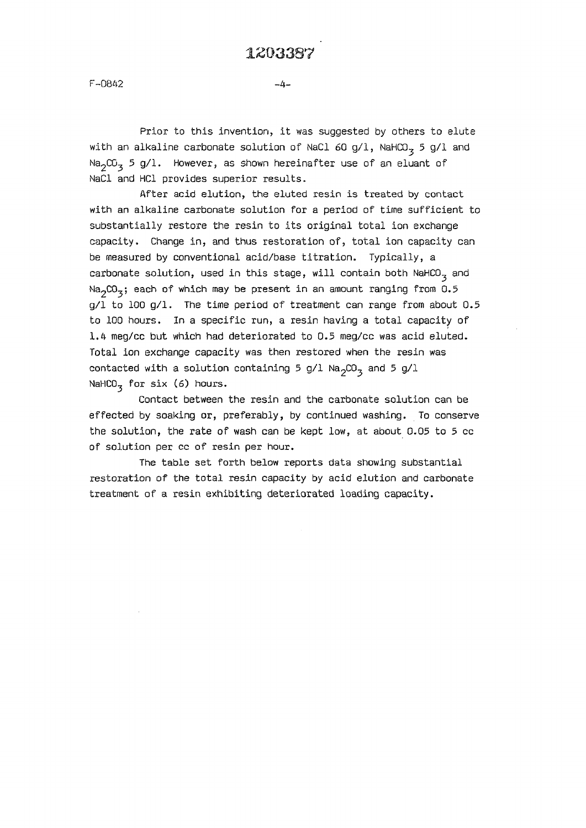**F-0842 -4-**

**Prior to this invention, it was suggested by others to elute**  with an alkaline carbonate solution of NaCl 60 g/l, NaHCO<sub>3</sub> 5 g/l and **NagCO-j 5 g/1. However, as shown hereinafter use of an eluant of NaCl and HC1 provides superior results.** 

**After acid elution, the eluted resin is treated by contact with an alkaline carbonate solution for a period of time sufficient to substantially restore the resin to its original total ion exchange capacity. Change in, and thus restoration of, total ion capacity can be measured by conventional acid/base titration. Typically, a carbonate solution, used in this stage, will contain both NaHCO^ and N^CO^; each of which may be present in an amount ranging from 0.5 g/1 to 100 g/1. The time period of treatment can range from about 0.5 to 100 hours. In a specific run, a resin having a total capacity of 1.4 meg/cc but which had deteriorated to 0.5 meg/cc was acid eluted. Total ion exchange capacity was then restored when the resin was**  contacted with a solution containing 5 g/l  $\text{Na}_2\text{CO}_3^-$  and 5 g/l NaHCO<sub>3</sub> for six (6) hours.

**Contact between the resin and the carbonate solution can be effected by soaking or, preferably, by continued washing. To conserve the solution, the rate of wash can be kept low, at about 0.05 to 5 cc of solution per cc of resin per hour.** 

**The table set forth below reports data showing substantial restoration of the total resin capacity by acid elution and carbonate treatment of a resin exhibiting deteriorated loading capacity.**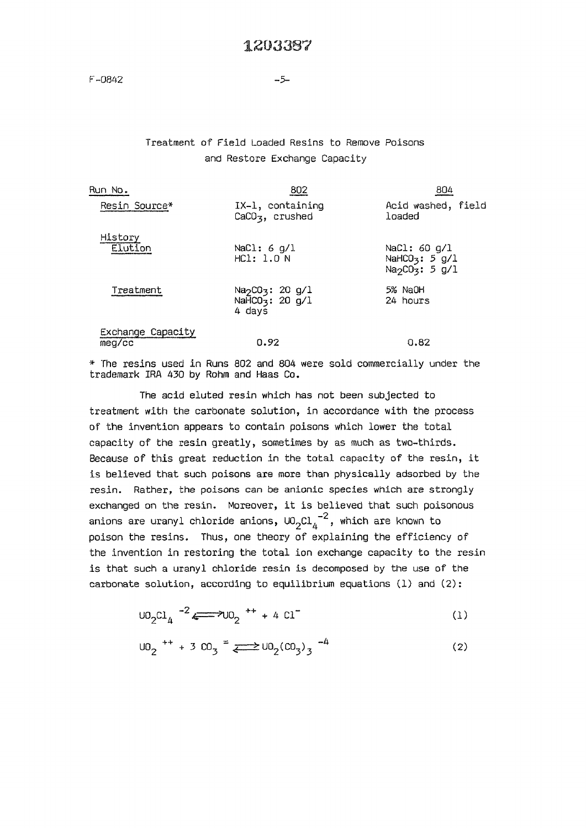#### **Treatment of Field Loaded Resins to Remove Poisons and Restore Exchange Capacity**

| Run No.                           | 802                                                                               | 804                                                                                     |
|-----------------------------------|-----------------------------------------------------------------------------------|-----------------------------------------------------------------------------------------|
| Resin Source*                     | IX-1, containing<br>$CaCO3$ , crushed                                             | Acid washed, field<br>loaded                                                            |
| History<br>Elution                | NaCl: 6 $g/L$<br>HC1: 1.0 N                                                       | NaCl: 60 g/l<br>NaHCO <sub>3</sub> : $5$ g/1<br>Na <sub>2</sub> CO <sub>3</sub> : 5 g/1 |
| Treatment                         | Na <sub>2</sub> CO <sub>3</sub> : 20 g/1<br>NaHCO <sub>3</sub> : 20 g/1<br>4 days | 5% NaOH<br>24 hours                                                                     |
| Exchange Capacity<br>$meq$ / $cc$ | 0.92                                                                              | 0.82                                                                                    |

**\* The resins used in Runs 802 and 804 were sold commercially under the trademark IRA 430 by Rohm and Haas Co.** 

**The acid eluted resin which has not been subjected to treatment with the carbonate solution, in accordance with the process of the invention appears to contain poisons which lower the total capacity of the resin greatly, sometimes by as much as two-thirds. Because of this great reduction in the total capacity of the resin, it is believed that such poisons are more than physically adsorbed by the resin. Rather, the poisons can be anionic species which are strongly exchanged on the resin. Moreover, it is believed that such poisonous**  anions are uranyl chloride anions,  $U0_2Cl_4^{-2}$ , which are known to poison the resins. Thus, one theory of explaining the efficiency of the invention in restoring the total ion exchange capacity to the resin is that such a uranyl chloride resin is decomposed by the use of the carbonate solution, according to equilibrium equations (1) and (2):

**carbonate solution, according to equilibrium equations (1) and (2):** 

$$
U0_2Cl_4
$$
  $-2$   $\longleftrightarrow$   $U0_2$   $^{++}$  + 4  $Cl^-$  (1)

$$
U0_2
$$
<sup>++</sup> + 3 CO<sub>3</sub><sup>=</sup>  $\longleftrightarrow U0_2 (CO_3)_3$ <sup>-4</sup> (2)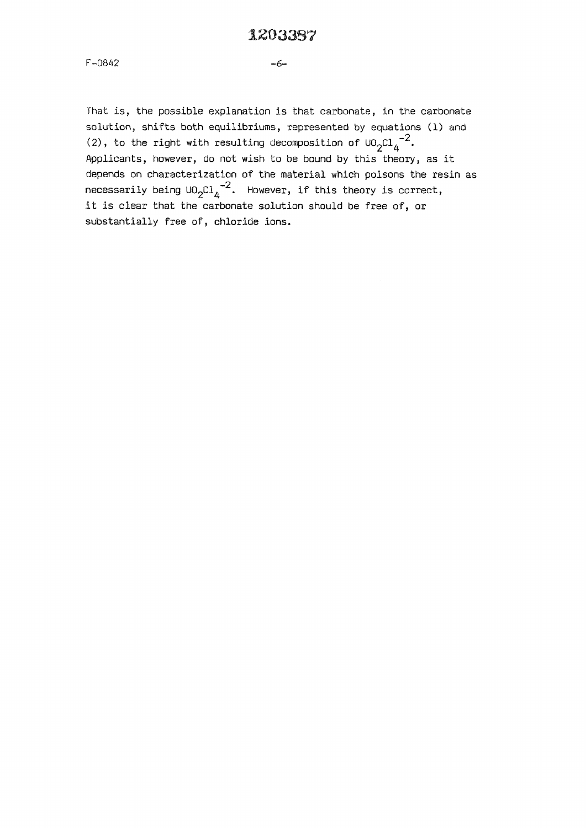#### **1\*503397**

**F-0842** 

**ïhat is, the possible explanation is that carbonate, in the carbonate solution, shifts both equilibriums, represented by equations (1) and**  (2), to the right with resulting decomposition of  $\text{UO}_{2}\text{Cl}_{4}^{-2}$ . **Applicants, however, do not wish to be bound by this theory, as it depends on characterization of the material which poisons the resin as**  necessarily being  $\cup_{2}Cl_{4}^{-2}$ . However, if this theory is correct, it is clear that the carbonate solution should be free of, or substantially free of, chloride ions.

**substantially free of, chloride ions.**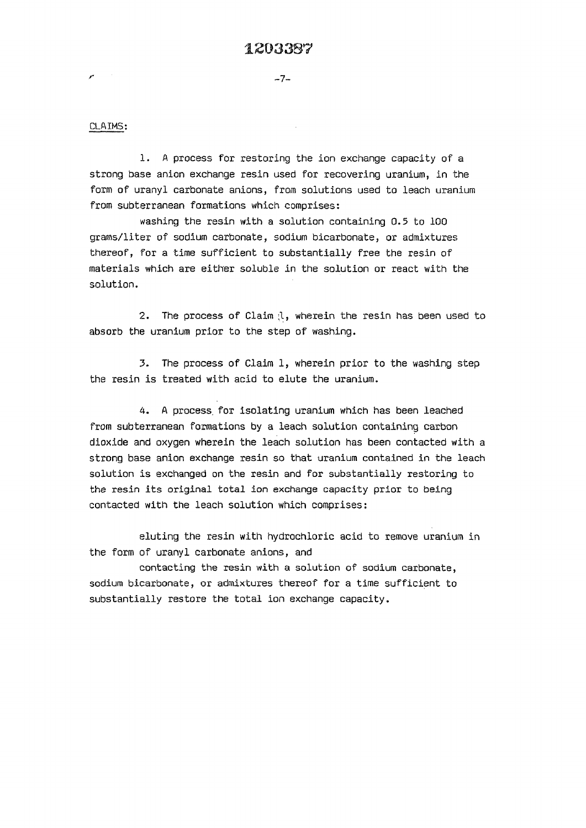#### **CLAIMS:**

 $\mathcal{P}^{(n)}$  . <br> <br> :

**1. A process for restoring the ion exchange capacity of a strong base anion exchange resin used for recovering uranium, in the form of uranyl carbonate anions, from solutions used to leach uranium from subterranean formations which comprises:** 

**washing the resin with a solution containing 0.5 to 100 grams/liter of sodium carbonate, sodium bicarbonate, or admixtures thereof, for a time sufficient to substantially free the resin of materials which are either soluble in the solution or react with the solution.** 

2. The process of Claim (l, wherein the resin has been used to **absorb the uranium prior to the step of washing.** 

**3. The process of Claim 1, wherein prior to the washing step the resin is treated with acid to elute the uranium.** 

**4. A process, for isolating uranium which has been leached from subterranean formations by a leach solution containing carbon dioxide and oxygen wherein the leach solution has been contacted with a strong base anion exchange resin so that uranium contained in the leach solution is exchanged on the resin and for substantially restoring to the resin its original total ion exchange capacity prior to being contacted with the leach solution which comprises:** 

**eluting the resin with hydrochloric acid to remove uranium in the form of uranyl carbonate anions, and** 

**contacting the resin with a solution of sodium carbonate, sodium bicarbonate, or admixtures thereof for a time sufficient to substantially restore the total ion exchange capacity.**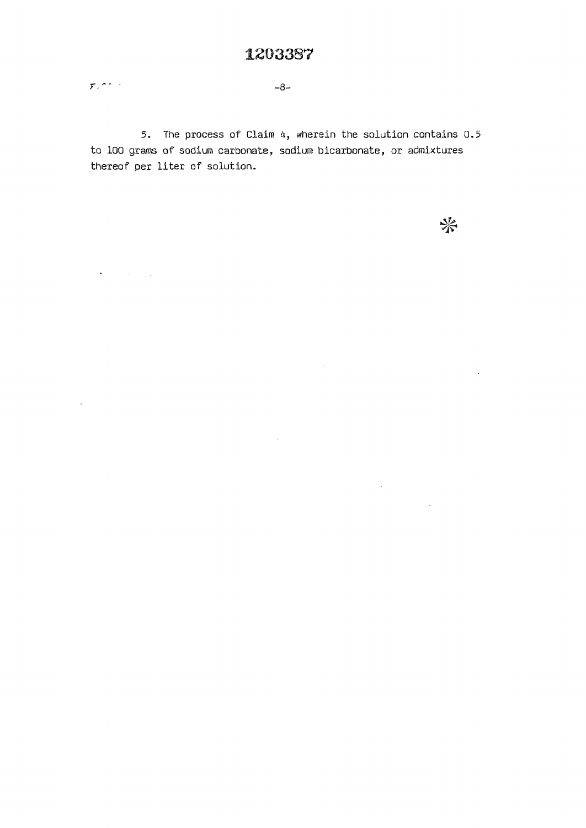$-8-$ 

 $\mathcal{F}_k$  and as

 $\mathcal{A}(\mathcal{A})$  and  $\mathcal{A}(\mathcal{A})$  and

 $\hat{\mathcal{A}}$ 

**5. The process of Claim 4, wherein the solution contains 0.5 to 100 grams of sodium carbonate, sodium bicarbonate, or admixtures thereof per liter of solution.** 

米

 $\sim 10$ 

 $\sim 10^{11}$  km  $^{-1}$ 

 $\sim 10^{-1}$